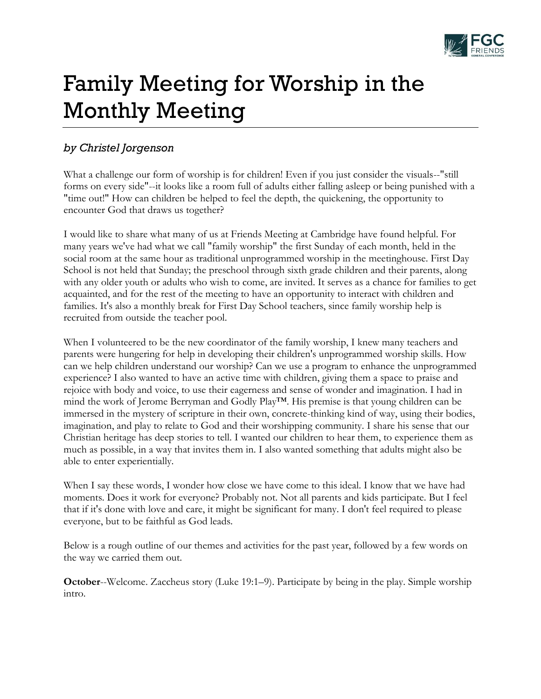

# Family Meeting for Worship in the Monthly Meeting

## *by Christel Jorgenson*

What a challenge our form of worship is for children! Even if you just consider the visuals--"still forms on every side"--it looks like a room full of adults either falling asleep or being punished with a "time out!" How can children be helped to feel the depth, the quickening, the opportunity to encounter God that draws us together?

I would like to share what many of us at Friends Meeting at Cambridge have found helpful. For many years we've had what we call "family worship" the first Sunday of each month, held in the social room at the same hour as traditional unprogrammed worship in the meetinghouse. First Day School is not held that Sunday; the preschool through sixth grade children and their parents, along with any older youth or adults who wish to come, are invited. It serves as a chance for families to get acquainted, and for the rest of the meeting to have an opportunity to interact with children and families. It's also a monthly break for First Day School teachers, since family worship help is recruited from outside the teacher pool.

When I volunteered to be the new coordinator of the family worship, I knew many teachers and parents were hungering for help in developing their children's unprogrammed worship skills. How can we help children understand our worship? Can we use a program to enhance the unprogrammed experience? I also wanted to have an active time with children, giving them a space to praise and rejoice with body and voice, to use their eagerness and sense of wonder and imagination. I had in mind the work of Jerome Berryman and Godly Play<sup>TM</sup>. His premise is that young children can be immersed in the mystery of scripture in their own, concrete-thinking kind of way, using their bodies, imagination, and play to relate to God and their worshipping community. I share his sense that our Christian heritage has deep stories to tell. I wanted our children to hear them, to experience them as much as possible, in a way that invites them in. I also wanted something that adults might also be able to enter experientially.

When I say these words, I wonder how close we have come to this ideal. I know that we have had moments. Does it work for everyone? Probably not. Not all parents and kids participate. But I feel that if it's done with love and care, it might be significant for many. I don't feel required to please everyone, but to be faithful as God leads.

Below is a rough outline of our themes and activities for the past year, followed by a few words on the way we carried them out.

**October--Welcome.** Zaccheus story (Luke 19:1–9). Participate by being in the play. Simple worship intro.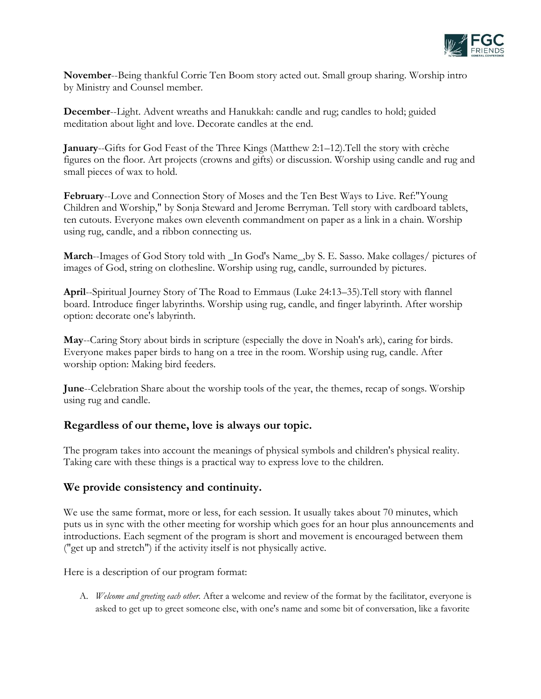

**November**--Being thankful Corrie Ten Boom story acted out. Small group sharing. Worship intro by Ministry and Counsel member.

**December**--Light. Advent wreaths and Hanukkah: candle and rug; candles to hold; guided meditation about light and love. Decorate candles at the end.

**January**--Gifts for God Feast of the Three Kings (Matthew 2:1–12). Tell the story with crèche figures on the floor. Art projects (crowns and gifts) or discussion. Worship using candle and rug and small pieces of wax to hold.

**February**--Love and Connection Story of Moses and the Ten Best Ways to Live. Ref:"Young Children and Worship," by Sonja Steward and Jerome Berryman. Tell story with cardboard tablets, ten cutouts. Everyone makes own eleventh commandment on paper as a link in a chain. Worship using rug, candle, and a ribbon connecting us.

**March**--Images of God Story told with \_In God's Name\_,by S. E. Sasso. Make collages/ pictures of images of God, string on clothesline. Worship using rug, candle, surrounded by pictures.

**April**--Spiritual Journey Story of The Road to Emmaus (Luke 24:13–35). Tell story with flannel board. Introduce finger labyrinths. Worship using rug, candle, and finger labyrinth. After worship option: decorate one's labyrinth.

**May**--Caring Story about birds in scripture (especially the dove in Noah's ark), caring for birds. Everyone makes paper birds to hang on a tree in the room. Worship using rug, candle. After worship option: Making bird feeders.

**June**--Celebration Share about the worship tools of the year, the themes, recap of songs. Worship using rug and candle.

### **Regardless of our theme, love is always our topic.**

The program takes into account the meanings of physical symbols and children's physical reality. Taking care with these things is a practical way to express love to the children.

### **We provide consistency and continuity.**

We use the same format, more or less, for each session. It usually takes about 70 minutes, which puts us in sync with the other meeting for worship which goes for an hour plus announcements and introductions. Each segment of the program is short and movement is encouraged between them ("get up and stretch") if the activity itself is not physically active.

Here is a description of our program format:

A. *Welcome and greeting each other.* After a welcome and review of the format by the facilitator, everyone is asked to get up to greet someone else, with one's name and some bit of conversation, like a favorite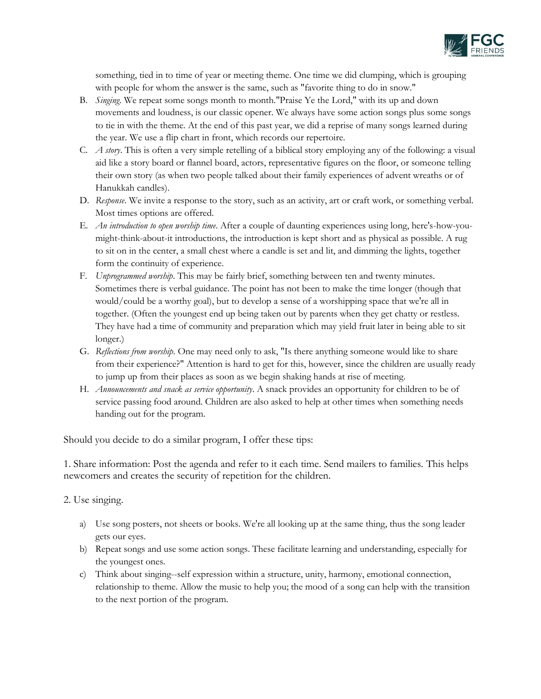

something, tied in to time of year or meeting theme. One time we did clumping, which is grouping with people for whom the answer is the same, such as "favorite thing to do in snow."

- B. *Singing*. We repeat some songs month to month."Praise Ye the Lord," with its up and down movements and loudness, is our classic opener. We always have some action songs plus some songs to tie in with the theme. At the end of this past year, we did a reprise of many songs learned during the year. We use a flip chart in front, which records our repertoire.
- C. *A story*. This is often a very simple retelling of a biblical story employing any of the following: a visual aid like a story board or flannel board, actors, representative figures on the floor, or someone telling their own story (as when two people talked about their family experiences of advent wreaths or of Hanukkah candles).
- D. *Response*. We invite a response to the story, such as an activity, art or craft work, or something verbal. Most times options are offered.
- E. *An introduction to open worship time*. After a couple of daunting experiences using long, here's-how-youmight-think-about-it introductions, the introduction is kept short and as physical as possible. A rug to sit on in the center, a small chest where a candle is set and lit, and dimming the lights, together form the continuity of experience.
- F. *Unprogrammed worship*. This may be fairly brief, something between ten and twenty minutes. Sometimes there is verbal guidance. The point has not been to make the time longer (though that would/could be a worthy goal), but to develop a sense of a worshipping space that we're all in together. (Often the youngest end up being taken out by parents when they get chatty or restless. They have had a time of community and preparation which may yield fruit later in being able to sit longer.)
- G. *Reflections from worship*. One may need only to ask, "Is there anything someone would like to share from their experience?" Attention is hard to get for this, however, since the children are usually ready to jump up from their places as soon as we begin shaking hands at rise of meeting.
- H. *Announcements and snack as service opportunity*. A snack provides an opportunity for children to be of service passing food around. Children are also asked to help at other times when something needs handing out for the program.

Should you decide to do a similar program, I offer these tips:

1. Share information: Post the agenda and refer to it each time. Send mailers to families. This helps newcomers and creates the security of repetition for the children.

2. Use singing.

- a) Use song posters, not sheets or books. We're all looking up at the same thing, thus the song leader gets our eyes.
- b) Repeat songs and use some action songs. These facilitate learning and understanding, especially for the youngest ones.
- c) Think about singing--self expression within a structure, unity, harmony, emotional connection, relationship to theme. Allow the music to help you; the mood of a song can help with the transition to the next portion of the program.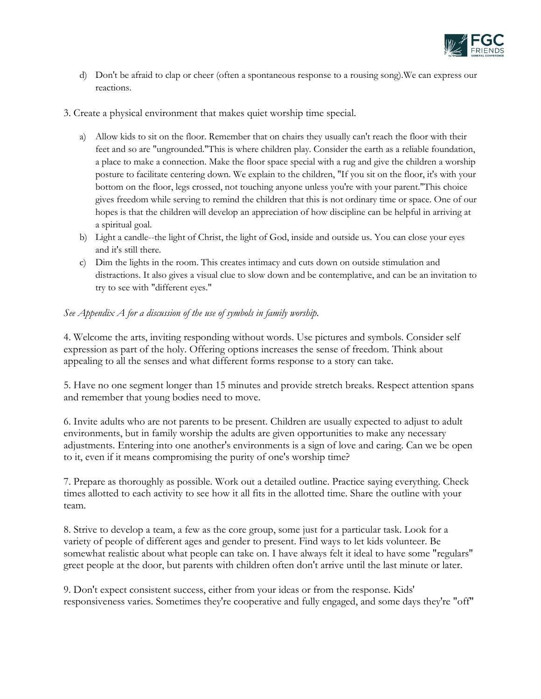

- d) Don't be afraid to clap or cheer (often a spontaneous response to a rousing song).We can express our reactions.
- 3. Create a physical environment that makes quiet worship time special.
	- a) Allow kids to sit on the floor. Remember that on chairs they usually can't reach the floor with their feet and so are "ungrounded."This is where children play. Consider the earth as a reliable foundation, a place to make a connection. Make the floor space special with a rug and give the children a worship posture to facilitate centering down. We explain to the children, "If you sit on the floor, it's with your bottom on the floor, legs crossed, not touching anyone unless you're with your parent."This choice gives freedom while serving to remind the children that this is not ordinary time or space. One of our hopes is that the children will develop an appreciation of how discipline can be helpful in arriving at a spiritual goal.
	- b) Light a candle--the light of Christ, the light of God, inside and outside us. You can close your eyes and it's still there.
	- c) Dim the lights in the room. This creates intimacy and cuts down on outside stimulation and distractions. It also gives a visual clue to slow down and be contemplative, and can be an invitation to try to see with "different eyes."

#### *See Appendix A for a discussion of the use of symbols in family worship.*

4. Welcome the arts, inviting responding without words. Use pictures and symbols. Consider self expression as part of the holy. Offering options increases the sense of freedom. Think about appealing to all the senses and what different forms response to a story can take.

5. Have no one segment longer than 15 minutes and provide stretch breaks. Respect attention spans and remember that young bodies need to move.

6. Invite adults who are not parents to be present. Children are usually expected to adjust to adult environments, but in family worship the adults are given opportunities to make any necessary adjustments. Entering into one another's environments is a sign of love and caring. Can we be open to it, even if it means compromising the purity of one's worship time?

7. Prepare as thoroughly as possible. Work out a detailed outline. Practice saying everything. Check times allotted to each activity to see how it all fits in the allotted time. Share the outline with your team.

8. Strive to develop a team, a few as the core group, some just for a particular task. Look for a variety of people of different ages and gender to present. Find ways to let kids volunteer. Be somewhat realistic about what people can take on. I have always felt it ideal to have some "regulars" greet people at the door, but parents with children often don't arrive until the last minute or later.

9. Don't expect consistent success, either from your ideas or from the response. Kids' responsiveness varies. Sometimes they're cooperative and fully engaged, and some days they're "off"